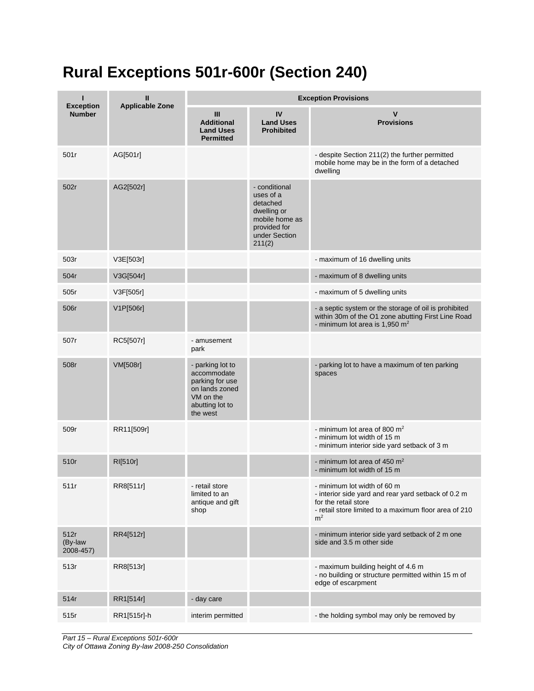## **Rural Exceptions 501r-600r (Section 240)**

|                                   | Ш                      | <b>Exception Provisions</b>                                                                                      |                                                                                                                    |                                                                                                                                                                                       |  |
|-----------------------------------|------------------------|------------------------------------------------------------------------------------------------------------------|--------------------------------------------------------------------------------------------------------------------|---------------------------------------------------------------------------------------------------------------------------------------------------------------------------------------|--|
| <b>Exception</b><br><b>Number</b> | <b>Applicable Zone</b> | III<br><b>Additional</b><br><b>Land Uses</b><br><b>Permitted</b>                                                 | IV<br><b>Land Uses</b><br><b>Prohibited</b>                                                                        | V<br><b>Provisions</b>                                                                                                                                                                |  |
| 501r                              | AG[501r]               |                                                                                                                  |                                                                                                                    | - despite Section 211(2) the further permitted<br>mobile home may be in the form of a detached<br>dwelling                                                                            |  |
| 502r                              | AG2[502r]              |                                                                                                                  | - conditional<br>uses of a<br>detached<br>dwelling or<br>mobile home as<br>provided for<br>under Section<br>211(2) |                                                                                                                                                                                       |  |
| 503r                              | V3E[503r]              |                                                                                                                  |                                                                                                                    | - maximum of 16 dwelling units                                                                                                                                                        |  |
| 504r                              | V3G[504r]              |                                                                                                                  |                                                                                                                    | - maximum of 8 dwelling units                                                                                                                                                         |  |
| 505r                              | V3F[505r]              |                                                                                                                  |                                                                                                                    | - maximum of 5 dwelling units                                                                                                                                                         |  |
| 506r                              | V1P[506r]              |                                                                                                                  |                                                                                                                    | - a septic system or the storage of oil is prohibited<br>within 30m of the O1 zone abutting First Line Road<br>- minimum lot area is 1,950 m <sup>2</sup>                             |  |
| 507r                              | RC5[507r]              | - amusement<br>park                                                                                              |                                                                                                                    |                                                                                                                                                                                       |  |
| 508r                              | VM[508r]               | - parking lot to<br>accommodate<br>parking for use<br>on lands zoned<br>VM on the<br>abutting lot to<br>the west |                                                                                                                    | - parking lot to have a maximum of ten parking<br>spaces                                                                                                                              |  |
| 509r                              | RR11[509r]             |                                                                                                                  |                                                                                                                    | - minimum lot area of 800 $m2$<br>- minimum lot width of 15 m<br>- minimum interior side yard setback of 3 m                                                                          |  |
| 510r                              | RI[510r]               |                                                                                                                  |                                                                                                                    | - minimum lot area of 450 $m2$<br>- minimum lot width of 15 m                                                                                                                         |  |
| 511r                              | RR8[511r]              | - retail store<br>limited to an<br>antique and gift<br>shop                                                      |                                                                                                                    | - minimum lot width of 60 m<br>- interior side yard and rear yard setback of 0.2 m<br>for the retail store<br>- retail store limited to a maximum floor area of 210<br>m <sup>2</sup> |  |
| 512r<br>(By-law<br>2008-457)      | RR4[512r]              |                                                                                                                  |                                                                                                                    | - minimum interior side yard setback of 2 m one<br>side and 3.5 m other side                                                                                                          |  |
| 513r                              | RR8[513r]              |                                                                                                                  |                                                                                                                    | - maximum building height of 4.6 m<br>- no building or structure permitted within 15 m of<br>edge of escarpment                                                                       |  |
| 514r                              | RR1[514r]              | - day care                                                                                                       |                                                                                                                    |                                                                                                                                                                                       |  |
| 515r                              | RR1[515r]-h            | interim permitted                                                                                                |                                                                                                                    | - the holding symbol may only be removed by                                                                                                                                           |  |

*Part 15 – Rural Exceptions 501r-600r City of Ottawa Zoning By-law 2008-250 Consolidation*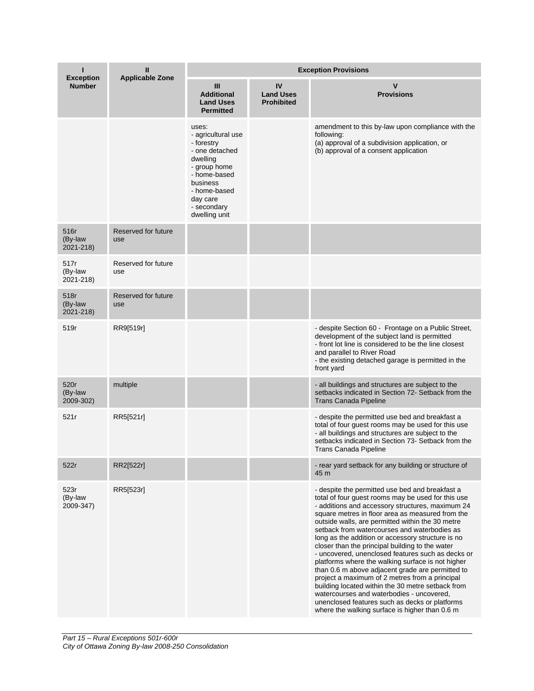| ı<br><b>Exception</b>        | Ш<br><b>Applicable Zone</b> | <b>Exception Provisions</b>                                                                                                                                                     |                                             |                                                                                                                                                                                                                                                                                                                                                                                                                                                                                                                                                                                                                                                                                                                                                                                                                                                 |  |
|------------------------------|-----------------------------|---------------------------------------------------------------------------------------------------------------------------------------------------------------------------------|---------------------------------------------|-------------------------------------------------------------------------------------------------------------------------------------------------------------------------------------------------------------------------------------------------------------------------------------------------------------------------------------------------------------------------------------------------------------------------------------------------------------------------------------------------------------------------------------------------------------------------------------------------------------------------------------------------------------------------------------------------------------------------------------------------------------------------------------------------------------------------------------------------|--|
| <b>Number</b>                |                             | Ш<br><b>Additional</b><br><b>Land Uses</b><br><b>Permitted</b>                                                                                                                  | IV<br><b>Land Uses</b><br><b>Prohibited</b> | v<br><b>Provisions</b>                                                                                                                                                                                                                                                                                                                                                                                                                                                                                                                                                                                                                                                                                                                                                                                                                          |  |
|                              |                             | uses:<br>- agricultural use<br>- forestry<br>- one detached<br>dwelling<br>- group home<br>- home-based<br>business<br>- home-based<br>day care<br>- secondary<br>dwelling unit |                                             | amendment to this by-law upon compliance with the<br>following:<br>(a) approval of a subdivision application, or<br>(b) approval of a consent application                                                                                                                                                                                                                                                                                                                                                                                                                                                                                                                                                                                                                                                                                       |  |
| 516r<br>(By-law<br>2021-218) | Reserved for future<br>use  |                                                                                                                                                                                 |                                             |                                                                                                                                                                                                                                                                                                                                                                                                                                                                                                                                                                                                                                                                                                                                                                                                                                                 |  |
| 517r<br>(By-law<br>2021-218) | Reserved for future<br>use  |                                                                                                                                                                                 |                                             |                                                                                                                                                                                                                                                                                                                                                                                                                                                                                                                                                                                                                                                                                                                                                                                                                                                 |  |
| 518r<br>(By-law<br>2021-218) | Reserved for future<br>use  |                                                                                                                                                                                 |                                             |                                                                                                                                                                                                                                                                                                                                                                                                                                                                                                                                                                                                                                                                                                                                                                                                                                                 |  |
| 519r                         | RR9[519r]                   |                                                                                                                                                                                 |                                             | - despite Section 60 - Frontage on a Public Street,<br>development of the subject land is permitted<br>- front lot line is considered to be the line closest<br>and parallel to River Road<br>- the existing detached garage is permitted in the<br>front yard                                                                                                                                                                                                                                                                                                                                                                                                                                                                                                                                                                                  |  |
| 520r<br>(By-law<br>2009-302) | multiple                    |                                                                                                                                                                                 |                                             | - all buildings and structures are subject to the<br>setbacks indicated in Section 72- Setback from the<br>Trans Canada Pipeline                                                                                                                                                                                                                                                                                                                                                                                                                                                                                                                                                                                                                                                                                                                |  |
| 521r                         | RR5[521r]                   |                                                                                                                                                                                 |                                             | - despite the permitted use bed and breakfast a<br>total of four guest rooms may be used for this use<br>- all buildings and structures are subject to the<br>setbacks indicated in Section 73- Setback from the<br><b>Trans Canada Pipeline</b>                                                                                                                                                                                                                                                                                                                                                                                                                                                                                                                                                                                                |  |
| 522r                         | RR2[522r]                   |                                                                                                                                                                                 |                                             | - rear yard setback for any building or structure of<br>45 m                                                                                                                                                                                                                                                                                                                                                                                                                                                                                                                                                                                                                                                                                                                                                                                    |  |
| 523r<br>(By-law<br>2009-347) | RR5[523r]                   |                                                                                                                                                                                 |                                             | - despite the permitted use bed and breakfast a<br>total of four guest rooms may be used for this use<br>- additions and accessory structures, maximum 24<br>square metres in floor area as measured from the<br>outside walls, are permitted within the 30 metre<br>setback from watercourses and waterbodies as<br>long as the addition or accessory structure is no<br>closer than the principal building to the water<br>- uncovered, unenclosed features such as decks or<br>platforms where the walking surface is not higher<br>than 0.6 m above adjacent grade are permitted to<br>project a maximum of 2 metres from a principal<br>building located within the 30 metre setback from<br>watercourses and waterbodies - uncovered,<br>unenclosed features such as decks or platforms<br>where the walking surface is higher than 0.6 m |  |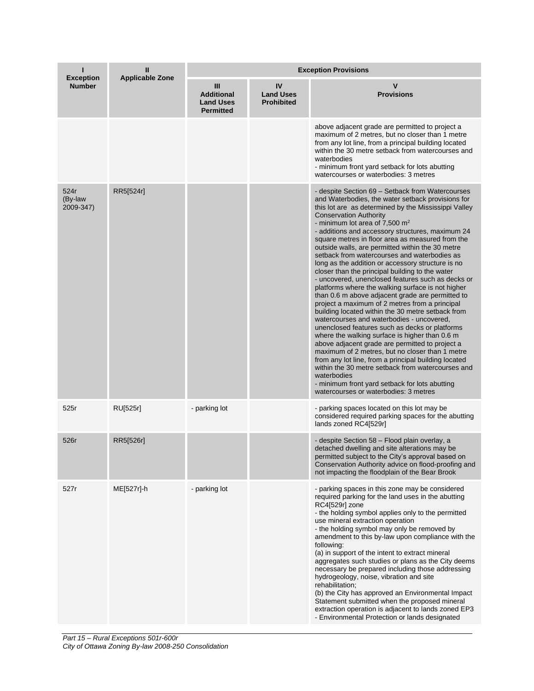| <b>Exception</b>             | Ш<br><b>Applicable Zone</b> | <b>Exception Provisions</b>                                    |                                             |                                                                                                                                                                                                                                                                                                                                                                                                                                                                                                                                                                                                                                                                                                                                                                                                                                                                                                                                                                                                                                                                                                                                                                                                                                                                                                           |  |
|------------------------------|-----------------------------|----------------------------------------------------------------|---------------------------------------------|-----------------------------------------------------------------------------------------------------------------------------------------------------------------------------------------------------------------------------------------------------------------------------------------------------------------------------------------------------------------------------------------------------------------------------------------------------------------------------------------------------------------------------------------------------------------------------------------------------------------------------------------------------------------------------------------------------------------------------------------------------------------------------------------------------------------------------------------------------------------------------------------------------------------------------------------------------------------------------------------------------------------------------------------------------------------------------------------------------------------------------------------------------------------------------------------------------------------------------------------------------------------------------------------------------------|--|
| <b>Number</b>                |                             | Ш<br><b>Additional</b><br><b>Land Uses</b><br><b>Permitted</b> | IV<br><b>Land Uses</b><br><b>Prohibited</b> | v<br><b>Provisions</b>                                                                                                                                                                                                                                                                                                                                                                                                                                                                                                                                                                                                                                                                                                                                                                                                                                                                                                                                                                                                                                                                                                                                                                                                                                                                                    |  |
|                              |                             |                                                                |                                             | above adjacent grade are permitted to project a<br>maximum of 2 metres, but no closer than 1 metre<br>from any lot line, from a principal building located<br>within the 30 metre setback from watercourses and<br>waterbodies<br>- minimum front yard setback for lots abutting<br>watercourses or waterbodies: 3 metres                                                                                                                                                                                                                                                                                                                                                                                                                                                                                                                                                                                                                                                                                                                                                                                                                                                                                                                                                                                 |  |
| 524r<br>(By-law<br>2009-347) | RR5[524r]                   |                                                                |                                             | - despite Section 69 - Setback from Watercourses<br>and Waterbodies, the water setback provisions for<br>this lot are as determined by the Mississippi Valley<br><b>Conservation Authority</b><br>- minimum lot area of 7,500 $m2$<br>- additions and accessory structures, maximum 24<br>square metres in floor area as measured from the<br>outside walls, are permitted within the 30 metre<br>setback from watercourses and waterbodies as<br>long as the addition or accessory structure is no<br>closer than the principal building to the water<br>- uncovered, unenclosed features such as decks or<br>platforms where the walking surface is not higher<br>than 0.6 m above adjacent grade are permitted to<br>project a maximum of 2 metres from a principal<br>building located within the 30 metre setback from<br>watercourses and waterbodies - uncovered,<br>unenclosed features such as decks or platforms<br>where the walking surface is higher than 0.6 m<br>above adjacent grade are permitted to project a<br>maximum of 2 metres, but no closer than 1 metre<br>from any lot line, from a principal building located<br>within the 30 metre setback from watercourses and<br>waterbodies<br>- minimum front yard setback for lots abutting<br>watercourses or waterbodies: 3 metres |  |
| 525r                         | RU[525r]                    | - parking lot                                                  |                                             | - parking spaces located on this lot may be<br>considered required parking spaces for the abutting<br>lands zoned RC4[529r]                                                                                                                                                                                                                                                                                                                                                                                                                                                                                                                                                                                                                                                                                                                                                                                                                                                                                                                                                                                                                                                                                                                                                                               |  |
| 526r                         | RR5[526r]                   |                                                                |                                             | - despite Section 58 - Flood plain overlay, a<br>detached dwelling and site alterations may be<br>permitted subject to the City's approval based on<br>Conservation Authority advice on flood-proofing and<br>not impacting the floodplain of the Bear Brook                                                                                                                                                                                                                                                                                                                                                                                                                                                                                                                                                                                                                                                                                                                                                                                                                                                                                                                                                                                                                                              |  |
| 527r                         | ME[527r]-h                  | - parking lot                                                  |                                             | - parking spaces in this zone may be considered<br>required parking for the land uses in the abutting<br>RC4[529r] zone<br>- the holding symbol applies only to the permitted<br>use mineral extraction operation<br>- the holding symbol may only be removed by<br>amendment to this by-law upon compliance with the<br>following:<br>(a) in support of the intent to extract mineral<br>aggregates such studies or plans as the City deems<br>necessary be prepared including those addressing<br>hydrogeology, noise, vibration and site<br>rehabilitation;<br>(b) the City has approved an Environmental Impact<br>Statement submitted when the proposed mineral<br>extraction operation is adjacent to lands zoned EP3<br>- Environmental Protection or lands designated                                                                                                                                                                                                                                                                                                                                                                                                                                                                                                                             |  |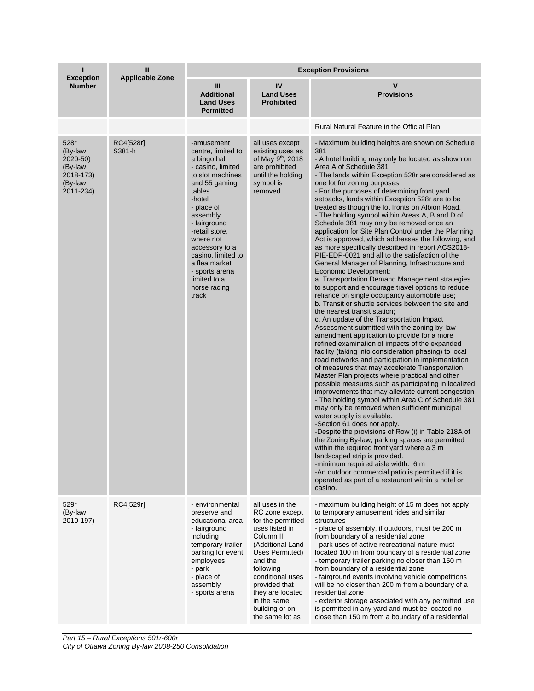|                                                                             | Ш<br><b>Applicable Zone</b> | <b>Exception Provisions</b>                                                                                                                                                                                                                                                                                                 |                                                                                                                                                                                                                                                                    |                                                                                                                                                                                                                                                                                                                                                                                                                                                                                                                                                                                                                                                                                                                                                                                                                                                                                                                                                                                                                                                                                                                                                                                                                                                                                                                                                                                                                                                                                                                                                                                                                                                                                                                                                                                                                                                                                                                                                                                                                                                                                              |  |
|-----------------------------------------------------------------------------|-----------------------------|-----------------------------------------------------------------------------------------------------------------------------------------------------------------------------------------------------------------------------------------------------------------------------------------------------------------------------|--------------------------------------------------------------------------------------------------------------------------------------------------------------------------------------------------------------------------------------------------------------------|----------------------------------------------------------------------------------------------------------------------------------------------------------------------------------------------------------------------------------------------------------------------------------------------------------------------------------------------------------------------------------------------------------------------------------------------------------------------------------------------------------------------------------------------------------------------------------------------------------------------------------------------------------------------------------------------------------------------------------------------------------------------------------------------------------------------------------------------------------------------------------------------------------------------------------------------------------------------------------------------------------------------------------------------------------------------------------------------------------------------------------------------------------------------------------------------------------------------------------------------------------------------------------------------------------------------------------------------------------------------------------------------------------------------------------------------------------------------------------------------------------------------------------------------------------------------------------------------------------------------------------------------------------------------------------------------------------------------------------------------------------------------------------------------------------------------------------------------------------------------------------------------------------------------------------------------------------------------------------------------------------------------------------------------------------------------------------------------|--|
| <b>Exception</b><br><b>Number</b>                                           |                             | $\mathbf{m}$<br><b>Additional</b><br><b>Land Uses</b><br><b>Permitted</b>                                                                                                                                                                                                                                                   | IV<br><b>Land Uses</b><br><b>Prohibited</b>                                                                                                                                                                                                                        | $\mathsf{V}$<br><b>Provisions</b>                                                                                                                                                                                                                                                                                                                                                                                                                                                                                                                                                                                                                                                                                                                                                                                                                                                                                                                                                                                                                                                                                                                                                                                                                                                                                                                                                                                                                                                                                                                                                                                                                                                                                                                                                                                                                                                                                                                                                                                                                                                            |  |
|                                                                             |                             |                                                                                                                                                                                                                                                                                                                             |                                                                                                                                                                                                                                                                    | Rural Natural Feature in the Official Plan                                                                                                                                                                                                                                                                                                                                                                                                                                                                                                                                                                                                                                                                                                                                                                                                                                                                                                                                                                                                                                                                                                                                                                                                                                                                                                                                                                                                                                                                                                                                                                                                                                                                                                                                                                                                                                                                                                                                                                                                                                                   |  |
| 528r<br>(By-law<br>2020-50)<br>(By-law<br>2018-173)<br>(By-law<br>2011-234) | RC4[528r]<br>S381-h         | -amusement<br>centre, limited to<br>a bingo hall<br>- casino, limited<br>to slot machines<br>and 55 gaming<br>tables<br>-hotel<br>- place of<br>assembly<br>- fairground<br>-retail store,<br>where not<br>accessory to a<br>casino, limited to<br>a flea market<br>- sports arena<br>limited to a<br>horse racing<br>track | all uses except<br>existing uses as<br>of May 9 <sup>th</sup> , 2018<br>are prohibited<br>until the holding<br>symbol is<br>removed                                                                                                                                | - Maximum building heights are shown on Schedule<br>381<br>- A hotel building may only be located as shown on<br>Area A of Schedule 381<br>- The lands within Exception 528r are considered as<br>one lot for zoning purposes.<br>- For the purposes of determining front yard<br>setbacks, lands within Exception 528r are to be<br>treated as though the lot fronts on Albion Road.<br>- The holding symbol within Areas A, B and D of<br>Schedule 381 may only be removed once an<br>application for Site Plan Control under the Planning<br>Act is approved, which addresses the following, and<br>as more specifically described in report ACS2018-<br>PIE-EDP-0021 and all to the satisfaction of the<br>General Manager of Planning, Infrastructure and<br>Economic Development:<br>a. Transportation Demand Management strategies<br>to support and encourage travel options to reduce<br>reliance on single occupancy automobile use;<br>b. Transit or shuttle services between the site and<br>the nearest transit station;<br>c. An update of the Transportation Impact<br>Assessment submitted with the zoning by-law<br>amendment application to provide for a more<br>refined examination of impacts of the expanded<br>facility (taking into consideration phasing) to local<br>road networks and participation in implementation<br>of measures that may accelerate Transportation<br>Master Plan projects where practical and other<br>possible measures such as participating in localized<br>improvements that may alleviate current congestion<br>- The holding symbol within Area C of Schedule 381<br>may only be removed when sufficient municipal<br>water supply is available.<br>-Section 61 does not apply.<br>-Despite the provisions of Row (i) in Table 218A of<br>the Zoning By-law, parking spaces are permitted<br>within the required front yard where a 3 m<br>landscaped strip is provided.<br>-minimum required aisle width: 6 m<br>-An outdoor commercial patio is permitted if it is<br>operated as part of a restaurant within a hotel or<br>casino. |  |
| 529r<br>(By-law<br>2010-197)                                                | RC4[529r]                   | - environmental<br>preserve and<br>educational area<br>- fairground<br>including<br>temporary trailer<br>parking for event<br>employees<br>- park<br>- place of<br>assembly<br>- sports arena                                                                                                                               | all uses in the<br>RC zone except<br>for the permitted<br>uses listed in<br>Column III<br>(Additional Land<br>Uses Permitted)<br>and the<br>following<br>conditional uses<br>provided that<br>they are located<br>in the same<br>building or on<br>the same lot as | - maximum building height of 15 m does not apply<br>to temporary amusement rides and similar<br>structures<br>- place of assembly, if outdoors, must be 200 m<br>from boundary of a residential zone<br>- park uses of active recreational nature must<br>located 100 m from boundary of a residential zone<br>- temporary trailer parking no closer than 150 m<br>from boundary of a residential zone<br>- fairground events involving vehicle competitions<br>will be no closer than 200 m from a boundary of a<br>residential zone<br>- exterior storage associated with any permitted use<br>is permitted in any yard and must be located no<br>close than 150 m from a boundary of a residential                                                                                                                                                                                                                                                                                                                                                                                                                                                                                                                                                                                                                                                                                                                                                                                                                                                                                                                                                                                                                                                                                                                                                                                                                                                                                                                                                                                        |  |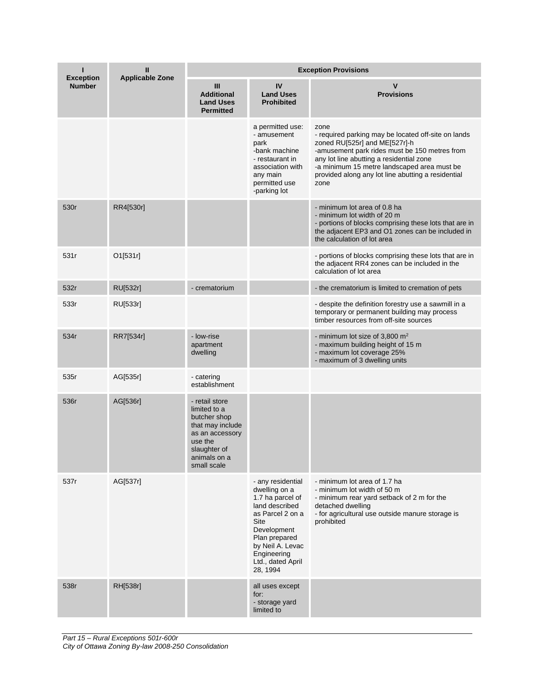| <b>Exception</b> | $\mathbf{I}$<br><b>Applicable Zone</b> | <b>Exception Provisions</b>                                                                                                                     |                                                                                                                                                                                                          |                                                                                                                                                                                                                                                                                                        |  |
|------------------|----------------------------------------|-------------------------------------------------------------------------------------------------------------------------------------------------|----------------------------------------------------------------------------------------------------------------------------------------------------------------------------------------------------------|--------------------------------------------------------------------------------------------------------------------------------------------------------------------------------------------------------------------------------------------------------------------------------------------------------|--|
| <b>Number</b>    |                                        | Ш<br><b>Additional</b><br><b>Land Uses</b><br><b>Permitted</b>                                                                                  | IV<br><b>Land Uses</b><br><b>Prohibited</b>                                                                                                                                                              | $\mathsf{V}$<br><b>Provisions</b>                                                                                                                                                                                                                                                                      |  |
|                  |                                        |                                                                                                                                                 | a permitted use:<br>- amusement<br>park<br>-bank machine<br>- restaurant in<br>association with<br>any main<br>permitted use<br>-parking lot                                                             | zone<br>- required parking may be located off-site on lands<br>zoned RU[525r] and ME[527r]-h<br>-amusement park rides must be 150 metres from<br>any lot line abutting a residential zone<br>-a minimum 15 metre landscaped area must be<br>provided along any lot line abutting a residential<br>zone |  |
| 530r             | RR4[530r]                              |                                                                                                                                                 |                                                                                                                                                                                                          | - minimum lot area of 0.8 ha<br>- minimum lot width of 20 m<br>- portions of blocks comprising these lots that are in<br>the adjacent EP3 and O1 zones can be included in<br>the calculation of lot area                                                                                               |  |
| 531r             | O1[531r]                               |                                                                                                                                                 |                                                                                                                                                                                                          | - portions of blocks comprising these lots that are in<br>the adjacent RR4 zones can be included in the<br>calculation of lot area                                                                                                                                                                     |  |
| 532r             | <b>RU[532r]</b>                        | - crematorium                                                                                                                                   |                                                                                                                                                                                                          | - the crematorium is limited to cremation of pets                                                                                                                                                                                                                                                      |  |
| 533r             | RU[533r]                               |                                                                                                                                                 |                                                                                                                                                                                                          | - despite the definition forestry use a sawmill in a<br>temporary or permanent building may process<br>timber resources from off-site sources                                                                                                                                                          |  |
| 534r             | RR7[534r]                              | - low-rise<br>apartment<br>dwelling                                                                                                             |                                                                                                                                                                                                          | - minimum lot size of 3,800 $m2$<br>- maximum building height of 15 m<br>- maximum lot coverage 25%<br>- maximum of 3 dwelling units                                                                                                                                                                   |  |
| 535r             | AG[535r]                               | - catering<br>establishment                                                                                                                     |                                                                                                                                                                                                          |                                                                                                                                                                                                                                                                                                        |  |
| 536r             | AG[536r]                               | - retail store<br>limited to a<br>butcher shop<br>that may include<br>as an accessory<br>use the<br>slaughter of<br>animals on a<br>small scale |                                                                                                                                                                                                          |                                                                                                                                                                                                                                                                                                        |  |
| 537r             | AG[537r]                               |                                                                                                                                                 | - any residential<br>dwelling on a<br>1.7 ha parcel of<br>land described<br>as Parcel 2 on a<br>Site<br>Development<br>Plan prepared<br>by Neil A. Levac<br>Engineering<br>Ltd., dated April<br>28, 1994 | - minimum lot area of 1.7 ha<br>- minimum lot width of 50 m<br>- minimum rear yard setback of 2 m for the<br>detached dwelling<br>- for agricultural use outside manure storage is<br>prohibited                                                                                                       |  |
| 538r             | RH[538r]                               |                                                                                                                                                 | all uses except<br>for:<br>- storage yard<br>limited to                                                                                                                                                  |                                                                                                                                                                                                                                                                                                        |  |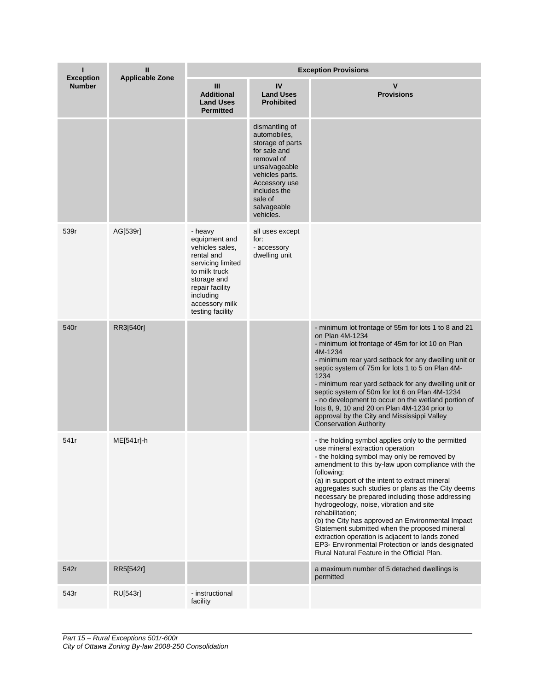| п<br><b>Exception</b> | Ш<br><b>Applicable Zone</b> | <b>Exception Provisions</b>                                                                                                                                                          |                                                                                                                                                                                              |                                                                                                                                                                                                                                                                                                                                                                                                                                                                                                                                                                                                                                                                                                  |  |
|-----------------------|-----------------------------|--------------------------------------------------------------------------------------------------------------------------------------------------------------------------------------|----------------------------------------------------------------------------------------------------------------------------------------------------------------------------------------------|--------------------------------------------------------------------------------------------------------------------------------------------------------------------------------------------------------------------------------------------------------------------------------------------------------------------------------------------------------------------------------------------------------------------------------------------------------------------------------------------------------------------------------------------------------------------------------------------------------------------------------------------------------------------------------------------------|--|
| <b>Number</b>         |                             | Ш<br><b>Additional</b><br><b>Land Uses</b><br><b>Permitted</b>                                                                                                                       | IV<br><b>Land Uses</b><br><b>Prohibited</b>                                                                                                                                                  | V<br><b>Provisions</b>                                                                                                                                                                                                                                                                                                                                                                                                                                                                                                                                                                                                                                                                           |  |
|                       |                             |                                                                                                                                                                                      | dismantling of<br>automobiles,<br>storage of parts<br>for sale and<br>removal of<br>unsalvageable<br>vehicles parts.<br>Accessory use<br>includes the<br>sale of<br>salvageable<br>vehicles. |                                                                                                                                                                                                                                                                                                                                                                                                                                                                                                                                                                                                                                                                                                  |  |
| 539r                  | AG[539r]                    | - heavy<br>equipment and<br>vehicles sales,<br>rental and<br>servicing limited<br>to milk truck<br>storage and<br>repair facility<br>including<br>accessory milk<br>testing facility | all uses except<br>for:<br>- accessory<br>dwelling unit                                                                                                                                      |                                                                                                                                                                                                                                                                                                                                                                                                                                                                                                                                                                                                                                                                                                  |  |
| 540r                  | RR3[540r]                   |                                                                                                                                                                                      |                                                                                                                                                                                              | - minimum lot frontage of 55m for lots 1 to 8 and 21<br>on Plan 4M-1234<br>- minimum lot frontage of 45m for lot 10 on Plan<br>4M-1234<br>- minimum rear yard setback for any dwelling unit or<br>septic system of 75m for lots 1 to 5 on Plan 4M-<br>1234<br>- minimum rear yard setback for any dwelling unit or<br>septic system of 50m for lot 6 on Plan 4M-1234<br>- no development to occur on the wetland portion of<br>lots 8, 9, 10 and 20 on Plan 4M-1234 prior to<br>approval by the City and Mississippi Valley<br><b>Conservation Authority</b>                                                                                                                                     |  |
| 541r                  | ME[541r]-h                  |                                                                                                                                                                                      |                                                                                                                                                                                              | - the holding symbol applies only to the permitted<br>use mineral extraction operation<br>- the holding symbol may only be removed by<br>amendment to this by-law upon compliance with the<br>following:<br>(a) in support of the intent to extract mineral<br>aggregates such studies or plans as the City deems<br>necessary be prepared including those addressing<br>hydrogeology, noise, vibration and site<br>rehabilitation;<br>(b) the City has approved an Environmental Impact<br>Statement submitted when the proposed mineral<br>extraction operation is adjacent to lands zoned<br>EP3- Environmental Protection or lands designated<br>Rural Natural Feature in the Official Plan. |  |
| 542r                  | RR5[542r]                   |                                                                                                                                                                                      |                                                                                                                                                                                              | a maximum number of 5 detached dwellings is<br>permitted                                                                                                                                                                                                                                                                                                                                                                                                                                                                                                                                                                                                                                         |  |
| 543r                  | RU[543r]                    | - instructional<br>facility                                                                                                                                                          |                                                                                                                                                                                              |                                                                                                                                                                                                                                                                                                                                                                                                                                                                                                                                                                                                                                                                                                  |  |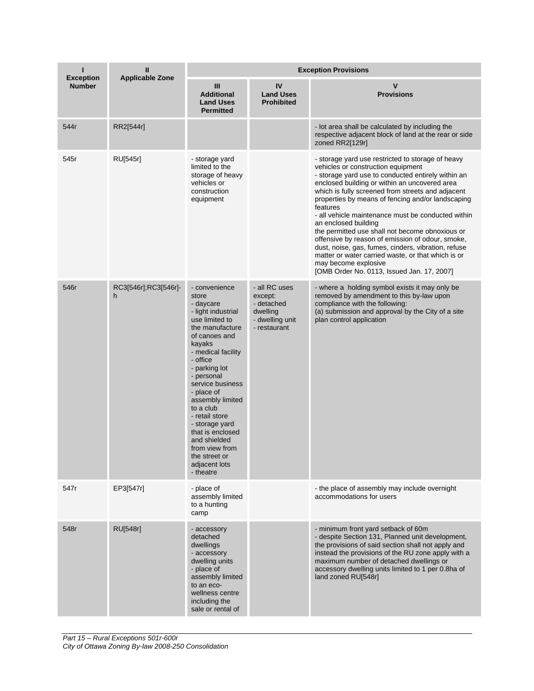| <b>Exception</b> | $\mathbf{I}$<br><b>Applicable Zone</b> | <b>Exception Provisions</b>                                                                                                                                                                                                                                                                                                                                                                            |                                                                                       |                                                                                                                                                                                                                                                                                                                                                                                                                                                                                                                                                                                                                                                                                              |  |
|------------------|----------------------------------------|--------------------------------------------------------------------------------------------------------------------------------------------------------------------------------------------------------------------------------------------------------------------------------------------------------------------------------------------------------------------------------------------------------|---------------------------------------------------------------------------------------|----------------------------------------------------------------------------------------------------------------------------------------------------------------------------------------------------------------------------------------------------------------------------------------------------------------------------------------------------------------------------------------------------------------------------------------------------------------------------------------------------------------------------------------------------------------------------------------------------------------------------------------------------------------------------------------------|--|
| <b>Number</b>    |                                        | Ш<br><b>Additional</b><br><b>Land Uses</b><br><b>Permitted</b>                                                                                                                                                                                                                                                                                                                                         | IV<br><b>Land Uses</b><br><b>Prohibited</b>                                           | v<br><b>Provisions</b>                                                                                                                                                                                                                                                                                                                                                                                                                                                                                                                                                                                                                                                                       |  |
| 544r             | RR2[544r]                              |                                                                                                                                                                                                                                                                                                                                                                                                        |                                                                                       | - lot area shall be calculated by including the<br>respective adjacent block of land at the rear or side<br>zoned RR2[129r]                                                                                                                                                                                                                                                                                                                                                                                                                                                                                                                                                                  |  |
| 545r             | RU[545r]                               | - storage yard<br>limited to the<br>storage of heavy<br>vehicles or<br>construction<br>equipment                                                                                                                                                                                                                                                                                                       |                                                                                       | - storage yard use restricted to storage of heavy<br>vehicles or construction equipment<br>- storage yard use to conducted entirely within an<br>enclosed building or within an uncovered area<br>which is fully screened from streets and adjacent<br>properties by means of fencing and/or landscaping<br>features<br>- all vehicle maintenance must be conducted within<br>an enclosed building<br>the permitted use shall not become obnoxious or<br>offensive by reason of emission of odour, smoke,<br>dust, noise, gas, fumes, cinders, vibration, refuse<br>matter or water carried waste, or that which is or<br>may become explosive<br>[OMB Order No. 0113, Issued Jan. 17, 2007] |  |
| 546r             | RC3[546r];RC3[546r]-<br>h              | - convenience<br>store<br>- daycare<br>- light industrial<br>use limited to<br>the manufacture<br>of canoes and<br>kayaks<br>- medical facility<br>- office<br>- parking lot<br>- personal<br>service business<br>- place of<br>assembly limited<br>to a club<br>- retail store<br>- storage yard<br>that is enclosed<br>and shielded<br>from view from<br>the street or<br>adjacent lots<br>- theatre | - all RC uses<br>except:<br>- detached<br>dwelling<br>- dwelling unit<br>- restaurant | - where a holding symbol exists it may only be<br>removed by amendment to this by-law upon<br>compliance with the following:<br>(a) submission and approval by the City of a site<br>plan control application                                                                                                                                                                                                                                                                                                                                                                                                                                                                                |  |
| 547r             | EP3[547r]                              | - place of<br>assembly limited<br>to a hunting<br>camp                                                                                                                                                                                                                                                                                                                                                 |                                                                                       | - the place of assembly may include overnight<br>accommodations for users                                                                                                                                                                                                                                                                                                                                                                                                                                                                                                                                                                                                                    |  |
| 548r             | <b>RU[548r]</b>                        | - accessory<br>detached<br>dwellings<br>- accessory<br>dwelling units<br>- place of<br>assembly limited<br>to an eco-<br>wellness centre<br>including the<br>sale or rental of                                                                                                                                                                                                                         |                                                                                       | - minimum front yard setback of 60m<br>- despite Section 131, Planned unit development,<br>the provisions of said section shall not apply and<br>instead the provisions of the RU zone apply with a<br>maximum number of detached dwellings or<br>accessory dwelling units limited to 1 per 0.8ha of<br>land zoned RU[548r]                                                                                                                                                                                                                                                                                                                                                                  |  |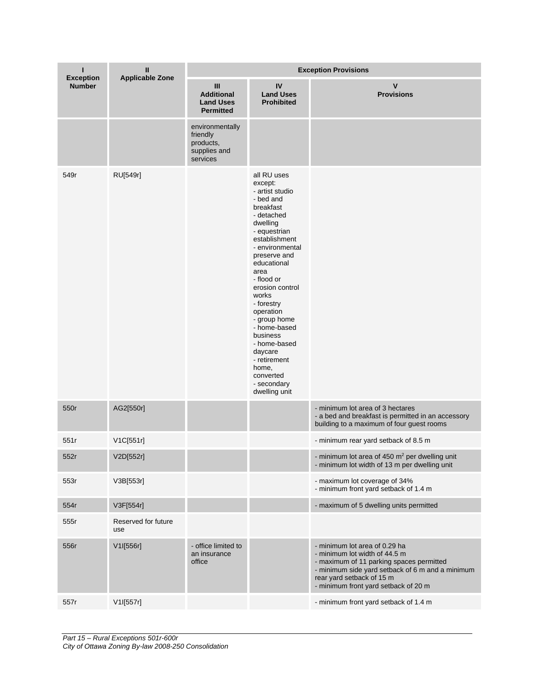| г<br><b>Exception</b> | Ш<br><b>Applicable Zone</b> | <b>Exception Provisions</b>                                          |                                                                                                                                                                                                                                                                                                                                                                                                            |                                                                                                                                                                                                                                     |  |
|-----------------------|-----------------------------|----------------------------------------------------------------------|------------------------------------------------------------------------------------------------------------------------------------------------------------------------------------------------------------------------------------------------------------------------------------------------------------------------------------------------------------------------------------------------------------|-------------------------------------------------------------------------------------------------------------------------------------------------------------------------------------------------------------------------------------|--|
| <b>Number</b>         |                             | Ш<br><b>Additional</b><br><b>Land Uses</b><br><b>Permitted</b>       | IV<br><b>Land Uses</b><br><b>Prohibited</b>                                                                                                                                                                                                                                                                                                                                                                | $\mathsf{V}$<br><b>Provisions</b>                                                                                                                                                                                                   |  |
|                       |                             | environmentally<br>friendly<br>products,<br>supplies and<br>services |                                                                                                                                                                                                                                                                                                                                                                                                            |                                                                                                                                                                                                                                     |  |
| 549r                  | RU[549r]                    |                                                                      | all RU uses<br>except:<br>- artist studio<br>- bed and<br>breakfast<br>- detached<br>dwelling<br>- equestrian<br>establishment<br>- environmental<br>preserve and<br>educational<br>area<br>- flood or<br>erosion control<br>works<br>- forestry<br>operation<br>- group home<br>- home-based<br>business<br>- home-based<br>daycare<br>- retirement<br>home,<br>converted<br>- secondary<br>dwelling unit |                                                                                                                                                                                                                                     |  |
| 550r                  | AG2[550r]                   |                                                                      |                                                                                                                                                                                                                                                                                                                                                                                                            | - minimum lot area of 3 hectares<br>- a bed and breakfast is permitted in an accessory<br>building to a maximum of four guest rooms                                                                                                 |  |
| 551r                  | V1C[551r]                   |                                                                      |                                                                                                                                                                                                                                                                                                                                                                                                            | - minimum rear yard setback of 8.5 m                                                                                                                                                                                                |  |
| 552r                  | V2D[552r]                   |                                                                      |                                                                                                                                                                                                                                                                                                                                                                                                            | - minimum lot area of $450 \text{ m}^2$ per dwelling unit<br>- minimum lot width of 13 m per dwelling unit                                                                                                                          |  |
| 553r                  | V3B[553r]                   |                                                                      |                                                                                                                                                                                                                                                                                                                                                                                                            | - maximum lot coverage of 34%<br>- minimum front yard setback of 1.4 m                                                                                                                                                              |  |
| 554r                  | V3F[554r]                   |                                                                      |                                                                                                                                                                                                                                                                                                                                                                                                            | - maximum of 5 dwelling units permitted                                                                                                                                                                                             |  |
| 555r                  | Reserved for future<br>use  |                                                                      |                                                                                                                                                                                                                                                                                                                                                                                                            |                                                                                                                                                                                                                                     |  |
| 556r                  | V1I[556r]                   | - office limited to<br>an insurance<br>office                        |                                                                                                                                                                                                                                                                                                                                                                                                            | - minimum lot area of 0.29 ha<br>- minimum lot width of 44.5 m<br>- maximum of 11 parking spaces permitted<br>- minimum side yard setback of 6 m and a minimum<br>rear yard setback of 15 m<br>- minimum front yard setback of 20 m |  |
| 557r                  | V1I[557r]                   |                                                                      |                                                                                                                                                                                                                                                                                                                                                                                                            | - minimum front yard setback of 1.4 m                                                                                                                                                                                               |  |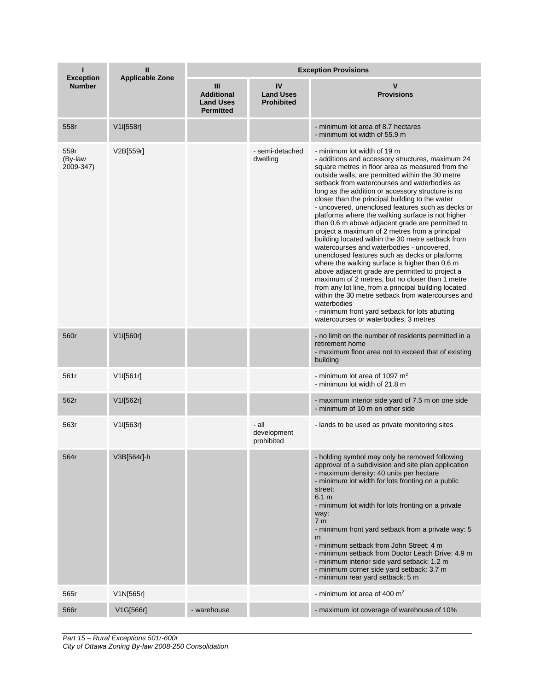| ı<br>$\mathbf{I}$<br><b>Exception</b><br><b>Applicable Zone</b> |             | <b>Exception Provisions</b>                                    |                                             |                                                                                                                                                                                                                                                                                                                                                                                                                                                                                                                                                                                                                                                                                                                                                                                                                                                                                                                                                                                                                                                                                                    |  |  |
|-----------------------------------------------------------------|-------------|----------------------------------------------------------------|---------------------------------------------|----------------------------------------------------------------------------------------------------------------------------------------------------------------------------------------------------------------------------------------------------------------------------------------------------------------------------------------------------------------------------------------------------------------------------------------------------------------------------------------------------------------------------------------------------------------------------------------------------------------------------------------------------------------------------------------------------------------------------------------------------------------------------------------------------------------------------------------------------------------------------------------------------------------------------------------------------------------------------------------------------------------------------------------------------------------------------------------------------|--|--|
| <b>Number</b>                                                   |             | Ш<br><b>Additional</b><br><b>Land Uses</b><br><b>Permitted</b> | IV<br><b>Land Uses</b><br><b>Prohibited</b> | v<br><b>Provisions</b>                                                                                                                                                                                                                                                                                                                                                                                                                                                                                                                                                                                                                                                                                                                                                                                                                                                                                                                                                                                                                                                                             |  |  |
| 558r                                                            | V1I[558r]   |                                                                |                                             | - minimum lot area of 8.7 hectares<br>- minimum lot width of 55.9 m                                                                                                                                                                                                                                                                                                                                                                                                                                                                                                                                                                                                                                                                                                                                                                                                                                                                                                                                                                                                                                |  |  |
| 559r<br>(By-law<br>2009-347)                                    | V2B[559r]   |                                                                | - semi-detached<br>dwelling                 | - minimum lot width of 19 m<br>- additions and accessory structures, maximum 24<br>square metres in floor area as measured from the<br>outside walls, are permitted within the 30 metre<br>setback from watercourses and waterbodies as<br>long as the addition or accessory structure is no<br>closer than the principal building to the water<br>- uncovered, unenclosed features such as decks or<br>platforms where the walking surface is not higher<br>than 0.6 m above adjacent grade are permitted to<br>project a maximum of 2 metres from a principal<br>building located within the 30 metre setback from<br>watercourses and waterbodies - uncovered,<br>unenclosed features such as decks or platforms<br>where the walking surface is higher than 0.6 m<br>above adjacent grade are permitted to project a<br>maximum of 2 metres, but no closer than 1 metre<br>from any lot line, from a principal building located<br>within the 30 metre setback from watercourses and<br>waterbodies<br>- minimum front yard setback for lots abutting<br>watercourses or waterbodies: 3 metres |  |  |
| 560r                                                            | V1I[560r]   |                                                                |                                             | - no limit on the number of residents permitted in a<br>retirement home<br>- maximum floor area not to exceed that of existing<br>building                                                                                                                                                                                                                                                                                                                                                                                                                                                                                                                                                                                                                                                                                                                                                                                                                                                                                                                                                         |  |  |
| 561r                                                            | V1I[561r]   |                                                                |                                             | - minimum lot area of 1097 $m2$<br>- minimum lot width of 21.8 m                                                                                                                                                                                                                                                                                                                                                                                                                                                                                                                                                                                                                                                                                                                                                                                                                                                                                                                                                                                                                                   |  |  |
| 562r                                                            | V1I[562r]   |                                                                |                                             | - maximum interior side yard of 7.5 m on one side<br>- minimum of 10 m on other side                                                                                                                                                                                                                                                                                                                                                                                                                                                                                                                                                                                                                                                                                                                                                                                                                                                                                                                                                                                                               |  |  |
| 563r                                                            | V1I[563r]   |                                                                | - all<br>development<br>prohibited          | - lands to be used as private monitoring sites                                                                                                                                                                                                                                                                                                                                                                                                                                                                                                                                                                                                                                                                                                                                                                                                                                                                                                                                                                                                                                                     |  |  |
| 564r                                                            | V3B[564r]-h |                                                                |                                             | - holding symbol may only be removed following<br>approval of a subdivision and site plan application<br>- maximum density: 40 units per hectare<br>- minimum lot width for lots fronting on a public<br>street:<br>6.1 m<br>- minimum lot width for lots fronting on a private<br>way:<br>7 <sub>m</sub><br>- minimum front yard setback from a private way: 5<br>m<br>- minimum setback from John Street: 4 m<br>- minimum setback from Doctor Leach Drive: 4.9 m<br>- minimum interior side yard setback: 1.2 m<br>- minimum corner side yard setback: 3.7 m<br>- minimum rear yard setback: 5 m                                                                                                                                                                                                                                                                                                                                                                                                                                                                                                |  |  |
| 565r                                                            | V1N[565r]   |                                                                |                                             | - minimum lot area of 400 m <sup>2</sup>                                                                                                                                                                                                                                                                                                                                                                                                                                                                                                                                                                                                                                                                                                                                                                                                                                                                                                                                                                                                                                                           |  |  |
| 566r                                                            | V1G[566r]   | - warehouse                                                    |                                             | - maximum lot coverage of warehouse of 10%                                                                                                                                                                                                                                                                                                                                                                                                                                                                                                                                                                                                                                                                                                                                                                                                                                                                                                                                                                                                                                                         |  |  |

*Part 15 – Rural Exceptions 501r-600r City of Ottawa Zoning By-law 2008-250 Consolidation*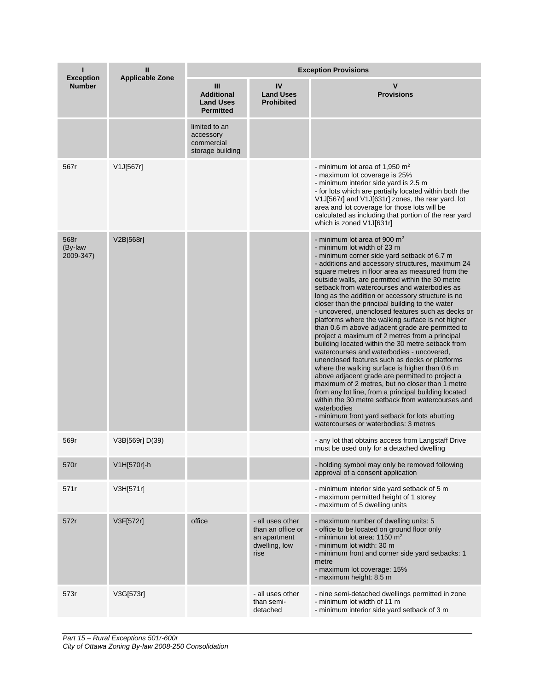| <b>Exception</b>             | Ш<br><b>Applicable Zone</b> | <b>Exception Provisions</b>                                    |                                                                                |                                                                                                                                                                                                                                                                                                                                                                                                                                                                                                                                                                                                                                                                                                                                                                                                                                                                                                                                                                                                                                                                                                                                                                                     |  |
|------------------------------|-----------------------------|----------------------------------------------------------------|--------------------------------------------------------------------------------|-------------------------------------------------------------------------------------------------------------------------------------------------------------------------------------------------------------------------------------------------------------------------------------------------------------------------------------------------------------------------------------------------------------------------------------------------------------------------------------------------------------------------------------------------------------------------------------------------------------------------------------------------------------------------------------------------------------------------------------------------------------------------------------------------------------------------------------------------------------------------------------------------------------------------------------------------------------------------------------------------------------------------------------------------------------------------------------------------------------------------------------------------------------------------------------|--|
| <b>Number</b>                |                             | Ш<br><b>Additional</b><br><b>Land Uses</b><br><b>Permitted</b> | IV<br><b>Land Uses</b><br><b>Prohibited</b>                                    | V<br><b>Provisions</b>                                                                                                                                                                                                                                                                                                                                                                                                                                                                                                                                                                                                                                                                                                                                                                                                                                                                                                                                                                                                                                                                                                                                                              |  |
|                              |                             | limited to an<br>accessory<br>commercial<br>storage building   |                                                                                |                                                                                                                                                                                                                                                                                                                                                                                                                                                                                                                                                                                                                                                                                                                                                                                                                                                                                                                                                                                                                                                                                                                                                                                     |  |
| 567r                         | V1J[567r]                   |                                                                |                                                                                | - minimum lot area of 1,950 $m2$<br>- maximum lot coverage is 25%<br>- minimum interior side yard is 2.5 m<br>- for lots which are partially located within both the<br>V1J[567r] and V1J[631r] zones, the rear yard, lot<br>area and lot coverage for those lots will be<br>calculated as including that portion of the rear yard<br>which is zoned V1J[631r]                                                                                                                                                                                                                                                                                                                                                                                                                                                                                                                                                                                                                                                                                                                                                                                                                      |  |
| 568r<br>(By-law<br>2009-347) | V2B[568r]                   |                                                                |                                                                                | - minimum lot area of 900 $m2$<br>- minimum lot width of 23 m<br>- minimum corner side yard setback of 6.7 m<br>- additions and accessory structures, maximum 24<br>square metres in floor area as measured from the<br>outside walls, are permitted within the 30 metre<br>setback from watercourses and waterbodies as<br>long as the addition or accessory structure is no<br>closer than the principal building to the water<br>- uncovered, unenclosed features such as decks or<br>platforms where the walking surface is not higher<br>than 0.6 m above adjacent grade are permitted to<br>project a maximum of 2 metres from a principal<br>building located within the 30 metre setback from<br>watercourses and waterbodies - uncovered,<br>unenclosed features such as decks or platforms<br>where the walking surface is higher than 0.6 m<br>above adjacent grade are permitted to project a<br>maximum of 2 metres, but no closer than 1 metre<br>from any lot line, from a principal building located<br>within the 30 metre setback from watercourses and<br>waterbodies<br>- minimum front yard setback for lots abutting<br>watercourses or waterbodies: 3 metres |  |
| 569r                         | V3B[569r] D(39)             |                                                                |                                                                                | - any lot that obtains access from Langstaff Drive<br>must be used only for a detached dwelling                                                                                                                                                                                                                                                                                                                                                                                                                                                                                                                                                                                                                                                                                                                                                                                                                                                                                                                                                                                                                                                                                     |  |
| 570r                         | V1H[570r]-h                 |                                                                |                                                                                | - holding symbol may only be removed following<br>approval of a consent application                                                                                                                                                                                                                                                                                                                                                                                                                                                                                                                                                                                                                                                                                                                                                                                                                                                                                                                                                                                                                                                                                                 |  |
| 571r                         | V3H[571r]                   |                                                                |                                                                                | - minimum interior side yard setback of 5 m<br>- maximum permitted height of 1 storey<br>- maximum of 5 dwelling units                                                                                                                                                                                                                                                                                                                                                                                                                                                                                                                                                                                                                                                                                                                                                                                                                                                                                                                                                                                                                                                              |  |
| 572r                         | V3F[572r]                   | office                                                         | - all uses other<br>than an office or<br>an apartment<br>dwelling, low<br>rise | - maximum number of dwelling units: 5<br>- office to be located on ground floor only<br>- minimum lot area: $1150 \text{ m}^2$<br>- minimum lot width: 30 m<br>- minimum front and corner side yard setbacks: 1<br>metre<br>- maximum lot coverage: 15%<br>- maximum height: 8.5 m                                                                                                                                                                                                                                                                                                                                                                                                                                                                                                                                                                                                                                                                                                                                                                                                                                                                                                  |  |
| 573r                         | V3G[573r]                   |                                                                | - all uses other<br>than semi-<br>detached                                     | - nine semi-detached dwellings permitted in zone<br>- minimum lot width of 11 m<br>- minimum interior side yard setback of 3 m                                                                                                                                                                                                                                                                                                                                                                                                                                                                                                                                                                                                                                                                                                                                                                                                                                                                                                                                                                                                                                                      |  |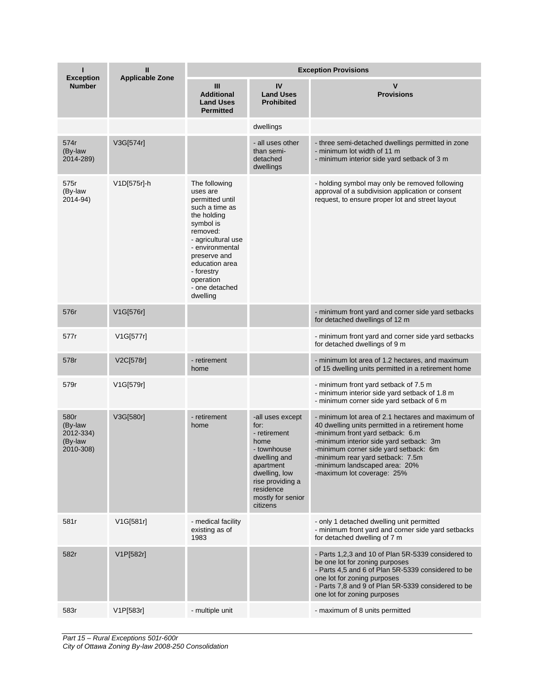| ı<br><b>Exception</b>                                | Ш<br><b>Applicable Zone</b> | <b>Exception Provisions</b>                                                                                                                                                                                                                |                                                                                                                                                                                 |                                                                                                                                                                                                                                                                                                                                  |  |
|------------------------------------------------------|-----------------------------|--------------------------------------------------------------------------------------------------------------------------------------------------------------------------------------------------------------------------------------------|---------------------------------------------------------------------------------------------------------------------------------------------------------------------------------|----------------------------------------------------------------------------------------------------------------------------------------------------------------------------------------------------------------------------------------------------------------------------------------------------------------------------------|--|
| <b>Number</b>                                        |                             | Ш<br><b>Additional</b><br><b>Land Uses</b><br><b>Permitted</b>                                                                                                                                                                             | IV<br><b>Land Uses</b><br><b>Prohibited</b>                                                                                                                                     | v<br><b>Provisions</b>                                                                                                                                                                                                                                                                                                           |  |
|                                                      |                             |                                                                                                                                                                                                                                            | dwellings                                                                                                                                                                       |                                                                                                                                                                                                                                                                                                                                  |  |
| 574r<br>(By-law<br>2014-289)                         | V3G[574r]                   |                                                                                                                                                                                                                                            | - all uses other<br>than semi-<br>detached<br>dwellings                                                                                                                         | - three semi-detached dwellings permitted in zone<br>- minimum lot width of 11 m<br>- minimum interior side yard setback of 3 m                                                                                                                                                                                                  |  |
| 575r<br>(By-law<br>2014-94)                          | V1D[575r]-h                 | The following<br>uses are<br>permitted until<br>such a time as<br>the holding<br>symbol is<br>removed:<br>- agricultural use<br>- environmental<br>preserve and<br>education area<br>- forestry<br>operation<br>- one detached<br>dwelling |                                                                                                                                                                                 | - holding symbol may only be removed following<br>approval of a subdivision application or consent<br>request, to ensure proper lot and street layout                                                                                                                                                                            |  |
| 576r                                                 | V1G[576r]                   |                                                                                                                                                                                                                                            |                                                                                                                                                                                 | - minimum front yard and corner side yard setbacks<br>for detached dwellings of 12 m                                                                                                                                                                                                                                             |  |
| 577r                                                 | V1G[577r]                   |                                                                                                                                                                                                                                            |                                                                                                                                                                                 | - minimum front yard and corner side yard setbacks<br>for detached dwellings of 9 m                                                                                                                                                                                                                                              |  |
| 578r                                                 | V2C[578r]                   | - retirement<br>home                                                                                                                                                                                                                       |                                                                                                                                                                                 | - minimum lot area of 1.2 hectares, and maximum<br>of 15 dwelling units permitted in a retirement home                                                                                                                                                                                                                           |  |
| 579r                                                 | V1G[579r]                   |                                                                                                                                                                                                                                            |                                                                                                                                                                                 | - minimum front yard setback of 7.5 m<br>- minimum interior side yard setback of 1.8 m<br>- minimum corner side yard setback of 6 m                                                                                                                                                                                              |  |
| 580r<br>(By-law<br>2012-334)<br>(By-law<br>2010-308) | V3G[580r]                   | - retirement<br>home                                                                                                                                                                                                                       | -all uses except<br>for:<br>- retirement<br>home<br>- townhouse<br>dwelling and<br>apartment<br>dwelling, low<br>rise providing a<br>residence<br>mostly for senior<br>citizens | - minimum lot area of 2.1 hectares and maximum of<br>40 dwelling units permitted in a retirement home<br>-minimum front yard setback: 6.m<br>-minimum interior side yard setback: 3m<br>-minimum corner side yard setback: 6m<br>-minimum rear yard setback: 7.5m<br>-minimum landscaped area: 20%<br>-maximum lot coverage: 25% |  |
| 581r                                                 | V1G[581r]                   | - medical facility<br>existing as of<br>1983                                                                                                                                                                                               |                                                                                                                                                                                 | - only 1 detached dwelling unit permitted<br>- minimum front yard and corner side yard setbacks<br>for detached dwelling of 7 m                                                                                                                                                                                                  |  |
| 582r                                                 | V1P[582r]                   |                                                                                                                                                                                                                                            |                                                                                                                                                                                 | - Parts 1,2,3 and 10 of Plan 5R-5339 considered to<br>be one lot for zoning purposes<br>- Parts 4,5 and 6 of Plan 5R-5339 considered to be<br>one lot for zoning purposes<br>- Parts 7,8 and 9 of Plan 5R-5339 considered to be<br>one lot for zoning purposes                                                                   |  |
| 583r                                                 | V1P[583r]                   | - multiple unit                                                                                                                                                                                                                            |                                                                                                                                                                                 | - maximum of 8 units permitted                                                                                                                                                                                                                                                                                                   |  |